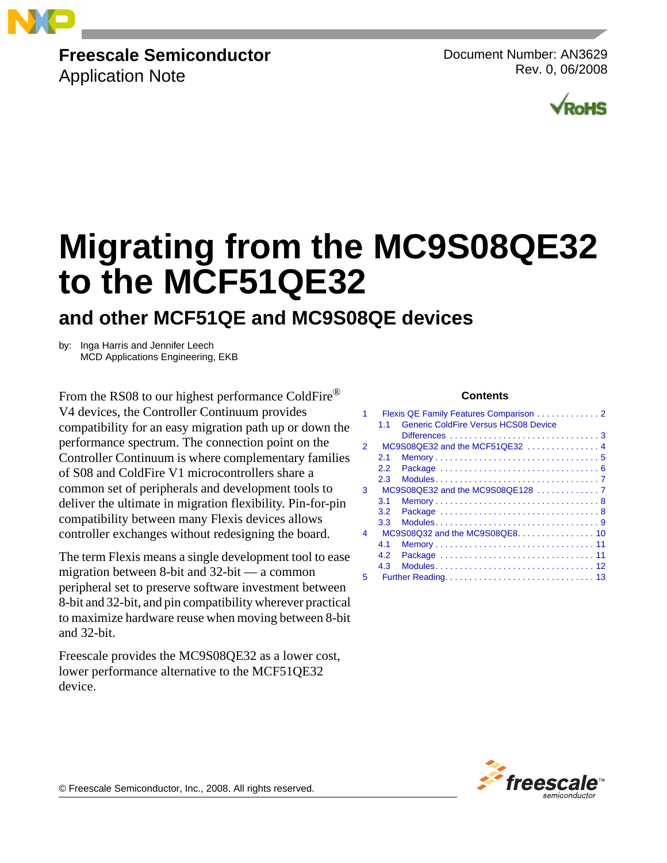

# **Freescale Semiconductor**

Application Note

Document Number: AN3629 Rev. 0, 06/2008



# **Migrating from the MC9S08QE32 to the MCF51QE32**

# **and other MCF51QE and MC9S08QE devices**

by: Inga Harris and Jennifer Leech MCD Applications Engineering, EKB

From the RS08 to our highest performance ColdFire® V4 devices, the Controller Continuum provides compatibility for an easy migration path up or down the performance spectrum. The connection point on the Controller Continuum is where complementary families of S08 and ColdFire V1 microcontrollers share a common set of peripherals and development tools to deliver the ultimate in migration flexibility. Pin-for-pin compatibility between many Flexis devices allows controller exchanges without redesigning the board.

The term Flexis means a single development tool to ease migration between 8-bit and 32-bit — a common peripheral set to preserve software investment between 8-bit and 32-bit, and pin compatibility wherever practical to maximize hardware reuse when moving between 8-bit and 32-bit.

Freescale provides the MC9S08QE32 as a lower cost, lower performance alternative to the MCF51QE32 device.

#### **Contents**

|               |     | Flexis QE Family Features Comparison 2                        |
|---------------|-----|---------------------------------------------------------------|
|               | 11  | Generic ColdFire Versus HCS08 Device                          |
|               |     |                                                               |
| $\mathcal{P}$ |     | $MC9S08QE32$ and the MCF51QE32 $\ldots$ , $\ldots$ , $\ldots$ |
|               | 2.1 |                                                               |
|               | 2.2 |                                                               |
|               | 2.3 |                                                               |
| 3             |     | $MC9S08QE32$ and the $MC9S08QE128$ , , , ,                    |
|               | 3.1 |                                                               |
|               | 3.2 |                                                               |
|               | 3.3 |                                                               |
| 4             |     | MC9S08Q32 and the MC9S08QE8. 10                               |
|               | 41  |                                                               |
|               | 4.2 |                                                               |
|               | 4.3 |                                                               |
| 5             |     |                                                               |
|               |     |                                                               |



© Freescale Semiconductor, Inc., 2008. All rights reserved.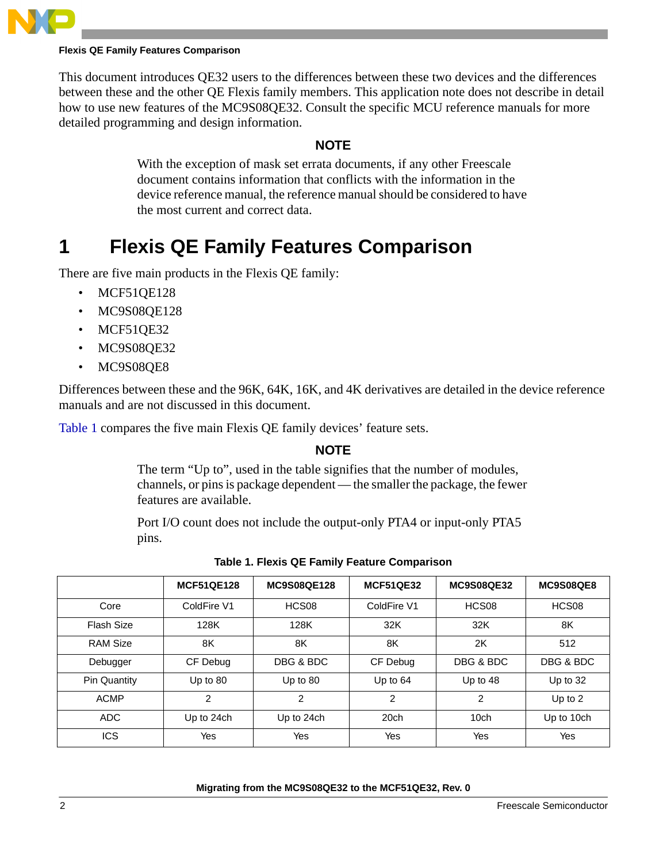

#### **Flexis QE Family Features Comparison**

This document introduces QE32 users to the differences between these two devices and the differences between these and the other QE Flexis family members. This application note does not describe in detail how to use new features of the MC9S08QE32. Consult the specific MCU reference manuals for more detailed programming and design information.

#### **NOTE**

With the exception of mask set errata documents, if any other Freescale document contains information that conflicts with the information in the device reference manual, the reference manual should be considered to have the most current and correct data.

# **1 Flexis QE Family Features Comparison**

There are five main products in the Flexis QE family:

- MCF51QE128
- MC9S08QE128
- MCF51QE32
- MC9S08QE32
- MC9S08QE8

Differences between these and the 96K, 64K, 16K, and 4K derivatives are detailed in the device reference manuals and are not discussed in this document.

Table 1 compares the five main Flexis QE family devices' feature sets.

#### **NOTE**

The term "Up to", used in the table signifies that the number of modules, channels, or pins is package dependent — the smaller the package, the fewer features are available.

Port I/O count does not include the output-only PTA4 or input-only PTA5 pins.

|                     | <b>MCF51QE128</b> | <b>MC9S08QE128</b> | <b>MCF51QE32</b> | <b>MC9S08QE32</b> | MC9S08QE8  |
|---------------------|-------------------|--------------------|------------------|-------------------|------------|
| Core                | ColdFire V1       | HCS08              | ColdFire V1      | HCS08             | HCS08      |
| <b>Flash Size</b>   | 128K              | 128K               | 32K              | 32K               | 8K         |
| <b>RAM Size</b>     | 8K                | 8K                 | 8K               | 2K                | 512        |
| Debugger            | CF Debug          | DBG & BDC          | CF Debug         | DBG & BDC         | DBG & BDC  |
| <b>Pin Quantity</b> | Up to $80$        | Up to $80$         | Up to $64$       | Up to 48          | Up to $32$ |
| <b>ACMP</b>         | 2                 | 2                  | $\overline{2}$   | $\overline{2}$    | Up to $2$  |
| <b>ADC</b>          | Up to 24ch        | Up to 24ch         | 20 <sub>ch</sub> | 10 <sub>ch</sub>  | Up to 10ch |
| <b>ICS</b>          | Yes               | Yes                | Yes              | Yes               | Yes        |

**Table 1. Flexis QE Family Feature Comparison**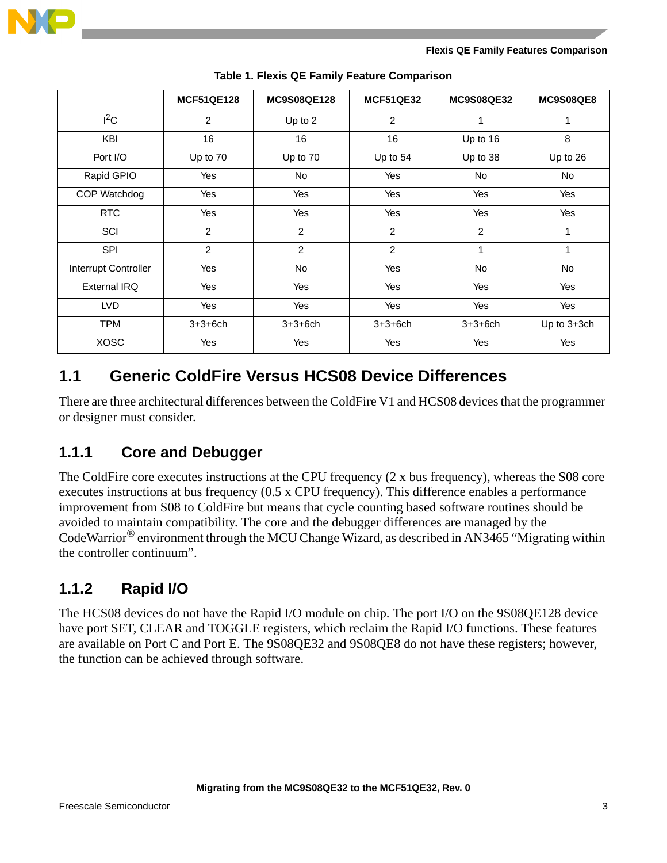

|                      | <b>MCF51QE128</b> | <b>MC9S08QE128</b> | <b>MCF51QE32</b> | <b>MC9S08QE32</b> | MC9S08QE8   |
|----------------------|-------------------|--------------------|------------------|-------------------|-------------|
| $1^2$ C              | 2                 | Up to 2            | 2                | 1                 | 1           |
| KBI                  | 16                | 16                 | 16               | Up to 16          | 8           |
| Port I/O             | Up to 70          | Up to 70           | Up to $54$       | Up to 38          | Up to 26    |
| Rapid GPIO           | Yes               | No                 | Yes              | No                | No          |
| COP Watchdog         | Yes               | Yes                | Yes              | Yes               | Yes         |
| <b>RTC</b>           | Yes               | Yes                | Yes              | Yes               | Yes         |
| SCI                  | $\overline{2}$    | $\overline{2}$     | $\overline{2}$   | $\overline{2}$    | 1           |
| <b>SPI</b>           | 2                 | 2                  | 2                | 1                 | 1           |
| Interrupt Controller | Yes               | <b>No</b>          | Yes              | No                | No          |
| <b>External IRQ</b>  | Yes               | Yes                | Yes              | Yes               | Yes         |
| <b>LVD</b>           | <b>Yes</b>        | Yes                | Yes              | Yes               | Yes         |
| <b>TPM</b>           | $3 + 3 + 6$ ch    | $3 + 3 + 6$ ch     | $3 + 3 + 6$ ch   | $3 + 3 + 6$ ch    | Up to 3+3ch |
| <b>XOSC</b>          | Yes               | Yes                | Yes              | Yes               | Yes         |

**Table 1. Flexis QE Family Feature Comparison**

### <span id="page-2-0"></span>**1.1 Generic ColdFire Versus HCS08 Device Differences**

There are three architectural differences between the ColdFire V1 and HCS08 devices that the programmer or designer must consider.

### **1.1.1 Core and Debugger**

The ColdFire core executes instructions at the CPU frequency (2 x bus frequency), whereas the S08 core executes instructions at bus frequency (0.5 x CPU frequency). This difference enables a performance improvement from S08 to ColdFire but means that cycle counting based software routines should be avoided to maintain compatibility. The core and the debugger differences are managed by the CodeWarrior® environment through the MCU Change Wizard, as described in AN3465 "Migrating within the controller continuum".

### **1.1.2 Rapid I/O**

The HCS08 devices do not have the Rapid I/O module on chip. The port I/O on the 9S08QE128 device have port SET, CLEAR and TOGGLE registers, which reclaim the Rapid I/O functions. These features are available on Port C and Port E. The 9S08QE32 and 9S08QE8 do not have these registers; however, the function can be achieved through software.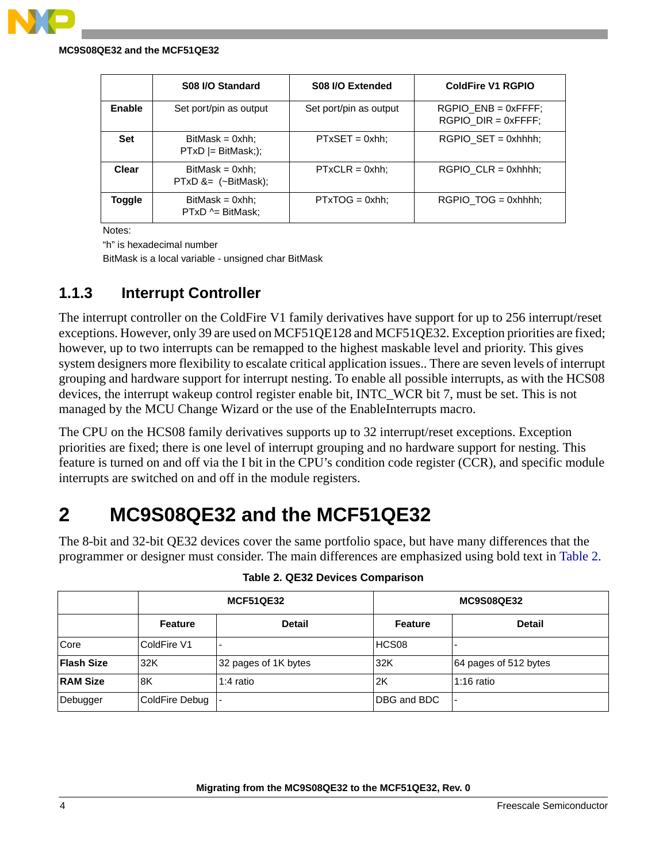#### **MC9S08QE32 and the MCF51QE32**

|            | S08 I/O Standard                              | S08 I/O Extended       | <b>ColdFire V1 RGPIO</b>                           |
|------------|-----------------------------------------------|------------------------|----------------------------------------------------|
| Enable     | Set port/pin as output                        | Set port/pin as output | $RGPIO$ $ENB = 0xFFFF$ :<br>$RGPIO$ $DIR = 0xFFF;$ |
| <b>Set</b> | $BitMask = 0xhh;$<br>$PTxD$ = BitMask;);      | $PTxSET = 0xhh;$       | $RGPIO$ $SET = 0xhhhh;$                            |
| Clear      | $BitMask = 0xhh;$<br>$PTxD$ &= $(-BitMask)$ ; | $PTxCLR = 0xhh;$       | $RGPIO$ $CLR = 0xhhhh;$                            |
| Toggle     | $BitMask = 0xhh;$<br>$PTxD \sim BitMask$ :    | $PTxTOG = 0xhh;$       | $RGPIO TOG = 0xhhh;$                               |

Notes:

"h" is hexadecimal number

BitMask is a local variable - unsigned char BitMask

### **1.1.3 Interrupt Controller**

The interrupt controller on the ColdFire V1 family derivatives have support for up to 256 interrupt/reset exceptions. However, only 39 are used on MCF51QE128 and MCF51QE32. Exception priorities are fixed; however, up to two interrupts can be remapped to the highest maskable level and priority. This gives system designers more flexibility to escalate critical application issues.. There are seven levels of interrupt grouping and hardware support for interrupt nesting. To enable all possible interrupts, as with the HCS08 devices, the interrupt wakeup control register enable bit, INTC\_WCR bit 7, must be set. This is not managed by the MCU Change Wizard or the use of the EnableInterrupts macro.

The CPU on the HCS08 family derivatives supports up to 32 interrupt/reset exceptions. Exception priorities are fixed; there is one level of interrupt grouping and no hardware support for nesting. This feature is turned on and off via the I bit in the CPU's condition code register (CCR), and specific module interrupts are switched on and off in the module registers.

# <span id="page-3-0"></span>**2 MC9S08QE32 and the MCF51QE32**

The 8-bit and 32-bit QE32 devices cover the same portfolio space, but have many differences that the programmer or designer must consider. The main differences are emphasized using bold text in Table 2.

|                   |                | <b>MCF51QE32</b>     | <b>MC9S08QE32</b>   |                       |  |
|-------------------|----------------|----------------------|---------------------|-----------------------|--|
|                   | <b>Feature</b> | <b>Detail</b>        | <b>Feature</b>      | <b>Detail</b>         |  |
| Core              | ColdFire V1    |                      | HCS08               |                       |  |
| <b>Flash Size</b> | 32K            | 32 pages of 1K bytes | 32K                 | 64 pages of 512 bytes |  |
| <b>RAM Size</b>   | 8K             | 1:4 ratio            | 2K                  | 1:16 ratio            |  |
| Debugger          | ColdFire Debug |                      | <b>IDBG and BDC</b> |                       |  |

|  | Table 2. QE32 Devices Comparison |  |
|--|----------------------------------|--|
|  |                                  |  |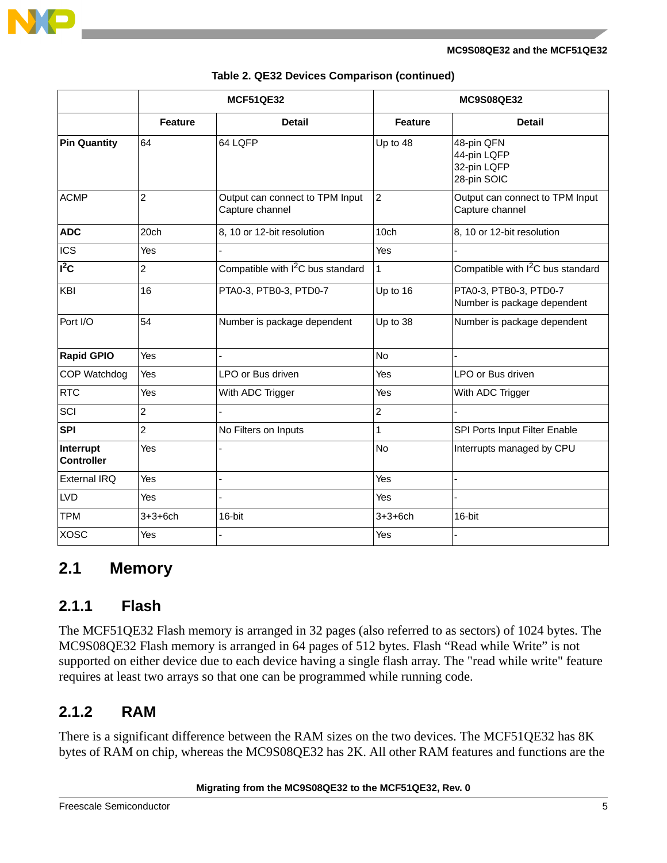

|                                |                  | <b>MCF51QE32</b>                                   | <b>MC9S08QE32</b> |                                                         |
|--------------------------------|------------------|----------------------------------------------------|-------------------|---------------------------------------------------------|
|                                | <b>Feature</b>   | <b>Detail</b>                                      | <b>Feature</b>    | <b>Detail</b>                                           |
| <b>Pin Quantity</b>            | 64               | 64 LQFP                                            | Up to 48          | 48-pin QFN<br>44-pin LQFP<br>32-pin LQFP<br>28-pin SOIC |
| <b>ACMP</b>                    | $\overline{2}$   | Output can connect to TPM Input<br>Capture channel | $\overline{2}$    | Output can connect to TPM Input<br>Capture channel      |
| <b>ADC</b>                     | 20 <sub>ch</sub> | 8, 10 or 12-bit resolution                         | 10 <sub>ch</sub>  | 8, 10 or 12-bit resolution                              |
| <b>ICS</b>                     | Yes              |                                                    | Yes               |                                                         |
| $\overline{I^2C}$              | $\overline{c}$   | Compatible with I <sup>2</sup> C bus standard      | $\mathbf{1}$      | Compatible with I <sup>2</sup> C bus standard           |
| KBI                            | 16               | PTA0-3, PTB0-3, PTD0-7                             | Up to 16          | PTA0-3, PTB0-3, PTD0-7<br>Number is package dependent   |
| Port I/O                       | 54               | Number is package dependent                        | Up to 38          | Number is package dependent                             |
| <b>Rapid GPIO</b>              | Yes              |                                                    | <b>No</b>         |                                                         |
| COP Watchdog                   | Yes              | LPO or Bus driven                                  | Yes               | LPO or Bus driven                                       |
| <b>RTC</b>                     | Yes              | With ADC Trigger                                   | Yes               | With ADC Trigger                                        |
| SCI                            | $\overline{2}$   |                                                    | $\overline{2}$    |                                                         |
| <b>SPI</b>                     | $\overline{2}$   | No Filters on Inputs                               | $\mathbf{1}$      | SPI Ports Input Filter Enable                           |
| Interrupt<br><b>Controller</b> | Yes              |                                                    | No                | Interrupts managed by CPU                               |
| <b>External IRQ</b>            | Yes              |                                                    | Yes               | L,                                                      |
| LVD                            | Yes              |                                                    | Yes               |                                                         |
| <b>TPM</b>                     | $3 + 3 + 6$ ch   | 16-bit                                             | $3 + 3 + 6$ ch    | 16-bit                                                  |
| <b>XOSC</b>                    | Yes              |                                                    | Yes               |                                                         |

| Table 2. QE32 Devices Comparison (continued) |  |  |
|----------------------------------------------|--|--|
|----------------------------------------------|--|--|

### <span id="page-4-0"></span>**2.1 Memory**

#### **2.1.1 Flash**

The MCF51QE32 Flash memory is arranged in 32 pages (also referred to as sectors) of 1024 bytes. The MC9S08QE32 Flash memory is arranged in 64 pages of 512 bytes. Flash "Read while Write" is not supported on either device due to each device having a single flash array. The "read while write" feature requires at least two arrays so that one can be programmed while running code.

### **2.1.2 RAM**

There is a significant difference between the RAM sizes on the two devices. The MCF51QE32 has 8K bytes of RAM on chip, whereas the MC9S08QE32 has 2K. All other RAM features and functions are the

#### **Migrating from the MC9S08QE32 to the MCF51QE32, Rev. 0**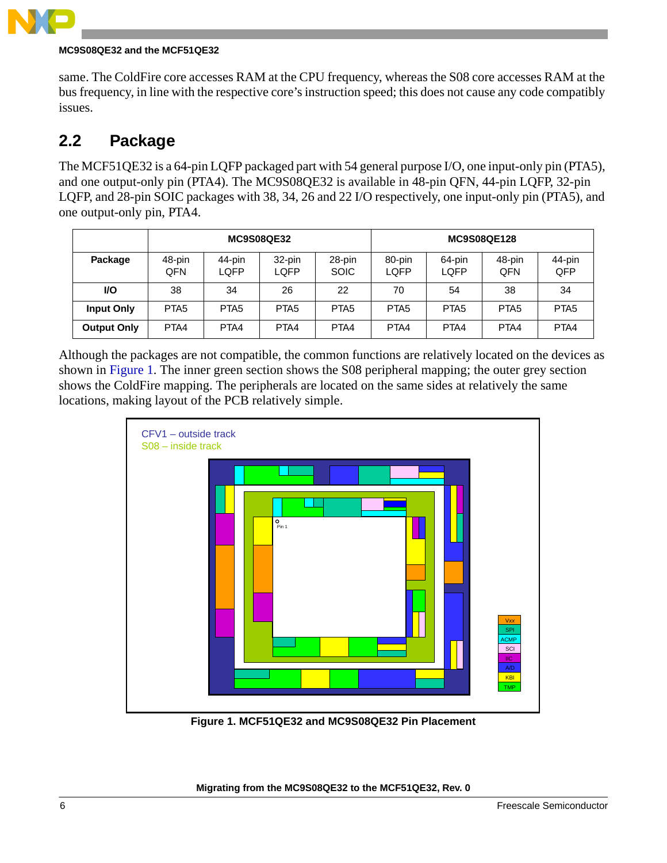

#### **MC9S08QE32 and the MCF51QE32**

same. The ColdFire core accesses RAM at the CPU frequency, whereas the S08 core accesses RAM at the bus frequency, in line with the respective core's instruction speed; this does not cause any code compatibly issues.

### <span id="page-5-0"></span>**2.2 Package**

The MCF51QE32 is a 64-pin LQFP packaged part with 54 general purpose I/O, one input-only pin (PTA5), and one output-only pin (PTA4). The MC9S08QE32 is available in 48-pin QFN, 44-pin LQFP, 32-pin LQFP, and 28-pin SOIC packages with 38, 34, 26 and 22 I/O respectively, one input-only pin (PTA5), and one output-only pin, PTA4.

|                    |                  | <b>MC9S08QE32</b> |                  |                       |                  | <b>MC9S08QE128</b> |                  |                  |
|--------------------|------------------|-------------------|------------------|-----------------------|------------------|--------------------|------------------|------------------|
| Package            | 48-pin<br>QFN    | 44-pin<br>LQFP    | 32-pin<br>LQFP   | 28-pin<br><b>SOIC</b> | 80-pin<br>LQFP   | 64-pin<br>LQFP     | 48-pin<br>QFN    | 44-pin<br>QFP    |
| <b>VO</b>          | 38               | 34                | 26               | 22                    | 70               | 54                 | 38               | 34               |
| <b>Input Only</b>  | PTA <sub>5</sub> | PTA <sub>5</sub>  | PTA <sub>5</sub> | PTA <sub>5</sub>      | PTA <sub>5</sub> | PTA <sub>5</sub>   | PTA <sub>5</sub> | PTA <sub>5</sub> |
| <b>Output Only</b> | PTA4             | PTA4              | PTA4             | PTA4                  | PTA4             | PTA4               | PTA4             | PTA4             |

Although the packages are not compatible, the common functions are relatively located on the devices as shown in [Figure 1.](#page-5-1) The inner green section shows the S08 peripheral mapping; the outer grey section shows the ColdFire mapping. The peripherals are located on the same sides at relatively the same locations, making layout of the PCB relatively simple.



<span id="page-5-1"></span>**Figure 1. MCF51QE32 and MC9S08QE32 Pin Placement**

**Migrating from the MC9S08QE32 to the MCF51QE32, Rev. 0**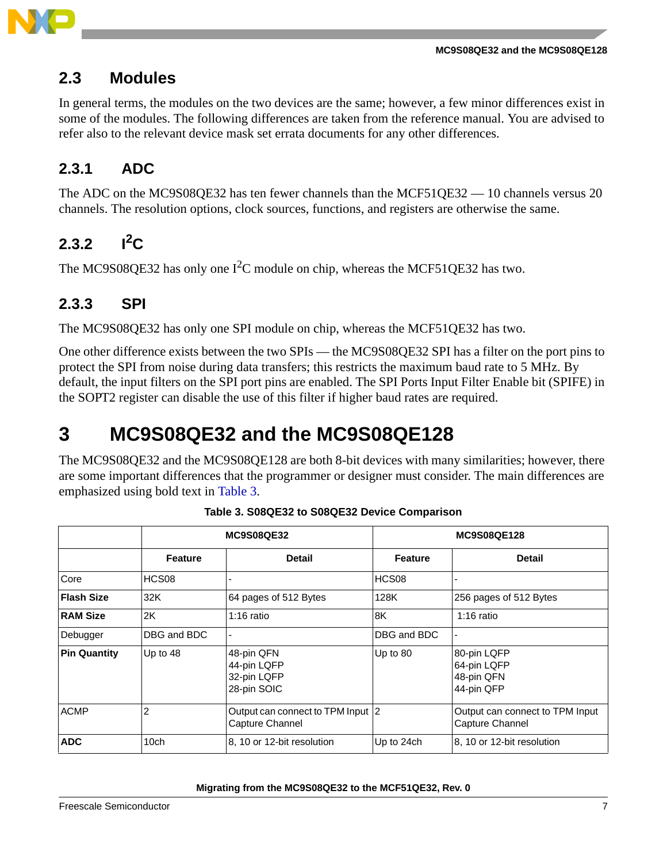

### <span id="page-6-0"></span>**2.3 Modules**

In general terms, the modules on the two devices are the same; however, a few minor differences exist in some of the modules. The following differences are taken from the reference manual. You are advised to refer also to the relevant device mask set errata documents for any other differences.

### **2.3.1 ADC**

The ADC on the MC9S08QE32 has ten fewer channels than the MCF51QE32 — 10 channels versus 20 channels. The resolution options, clock sources, functions, and registers are otherwise the same.

### **2.3.2**  $I^2C$

The MC9S08QE32 has only one  $I^2C$  module on chip, whereas the MCF51QE32 has two.

### **2.3.3 SPI**

The MC9S08QE32 has only one SPI module on chip, whereas the MCF51QE32 has two.

One other difference exists between the two SPIs — the MC9S08QE32 SPI has a filter on the port pins to protect the SPI from noise during data transfers; this restricts the maximum baud rate to 5 MHz. By default, the input filters on the SPI port pins are enabled. The SPI Ports Input Filter Enable bit (SPIFE) in the SOPT2 register can disable the use of this filter if higher baud rates are required.

# <span id="page-6-1"></span>**3 MC9S08QE32 and the MC9S08QE128**

The MC9S08QE32 and the MC9S08QE128 are both 8-bit devices with many similarities; however, there are some important differences that the programmer or designer must consider. The main differences are emphasized using bold text in Table 3.

|                     |                  | <b>MC9S08QE32</b>                                       | <b>MC9S08QE128</b> |                                                        |  |
|---------------------|------------------|---------------------------------------------------------|--------------------|--------------------------------------------------------|--|
|                     | <b>Feature</b>   | <b>Detail</b>                                           | <b>Feature</b>     | <b>Detail</b>                                          |  |
| Core                | HCS08            |                                                         | HCS08              |                                                        |  |
| <b>Flash Size</b>   | 32K              | 64 pages of 512 Bytes                                   | 128K               | 256 pages of 512 Bytes                                 |  |
| <b>RAM Size</b>     | 2K               | $1:16$ ratio                                            | 8K                 | $1:16$ ratio                                           |  |
| Debugger            | DBG and BDC      |                                                         | DBG and BDC        |                                                        |  |
| <b>Pin Quantity</b> | Up to 48         | 48-pin QFN<br>44-pin LQFP<br>32-pin LQFP<br>28-pin SOIC | Up to 80           | 80-pin LQFP<br>64-pin LQFP<br>48-pin QFN<br>44-pin QFP |  |
| <b>ACMP</b>         | 2                | Output can connect to TPM Input 2<br>Capture Channel    |                    | Output can connect to TPM Input<br>Capture Channel     |  |
| <b>ADC</b>          | 10 <sub>ch</sub> | 8, 10 or 12-bit resolution                              | Up to 24ch         | 8, 10 or 12-bit resolution                             |  |

**Table 3. S08QE32 to S08QE32 Device Comparison**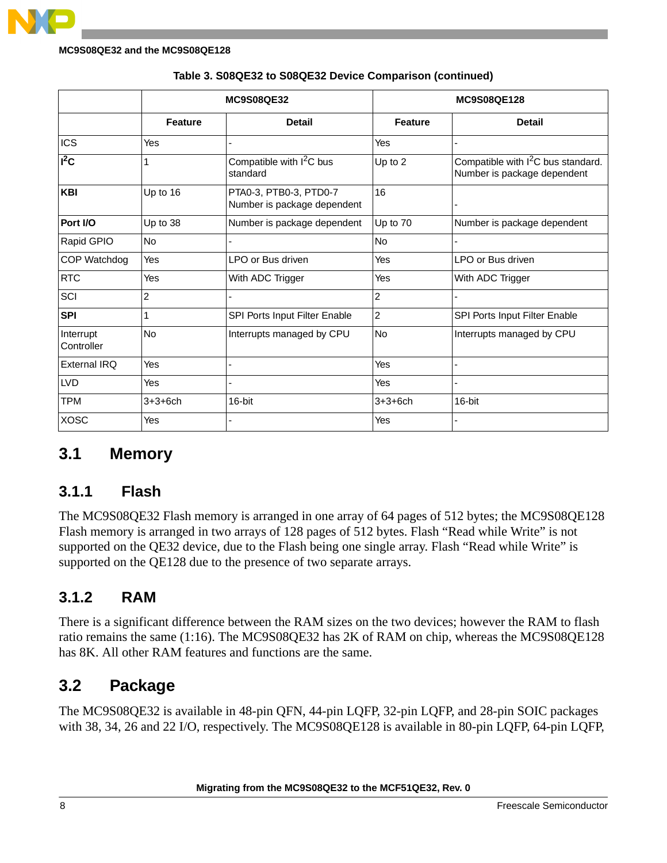

#### **MC9S08QE32 and the MC9S08QE128**

|                         |                | <b>MC9S08QE32</b>                                     |                | <b>MC9S08QE128</b>                                                            |
|-------------------------|----------------|-------------------------------------------------------|----------------|-------------------------------------------------------------------------------|
|                         | <b>Feature</b> | <b>Detail</b>                                         | <b>Feature</b> | <b>Detail</b>                                                                 |
| <b>ICS</b>              | Yes            | $\overline{a}$                                        | Yes            |                                                                               |
| $I^2C$                  | 1              | Compatible with $1^2C$ bus<br>standard                | Up to 2        | Compatible with I <sup>2</sup> C bus standard.<br>Number is package dependent |
| <b>KBI</b>              | Up to 16       | PTA0-3, PTB0-3, PTD0-7<br>Number is package dependent | 16             |                                                                               |
| Port I/O                | Up to 38       | Number is package dependent                           | Up to 70       | Number is package dependent                                                   |
| Rapid GPIO              | <b>No</b>      |                                                       | <b>No</b>      |                                                                               |
| COP Watchdog            | Yes            | LPO or Bus driven                                     | Yes            | LPO or Bus driven                                                             |
| <b>RTC</b>              | Yes            | With ADC Trigger                                      | Yes            | With ADC Trigger                                                              |
| SCI                     | $\overline{c}$ |                                                       | 2              |                                                                               |
| <b>SPI</b>              | 1              | SPI Ports Input Filter Enable                         | $\overline{c}$ | SPI Ports Input Filter Enable                                                 |
| Interrupt<br>Controller | <b>No</b>      | Interrupts managed by CPU                             | <b>No</b>      | Interrupts managed by CPU                                                     |
| External IRQ            | Yes            |                                                       | Yes            |                                                                               |
| <b>LVD</b>              | Yes            |                                                       | Yes            |                                                                               |
| <b>TPM</b>              | $3 + 3 + 6$ ch | 16-bit                                                | $3 + 3 + 6$ ch | 16-bit                                                                        |
| <b>XOSC</b>             | Yes            |                                                       | Yes            |                                                                               |

#### **Table 3. S08QE32 to S08QE32 Device Comparison (continued)**

### <span id="page-7-0"></span>**3.1 Memory**

#### **3.1.1 Flash**

The MC9S08QE32 Flash memory is arranged in one array of 64 pages of 512 bytes; the MC9S08QE128 Flash memory is arranged in two arrays of 128 pages of 512 bytes. Flash "Read while Write" is not supported on the QE32 device, due to the Flash being one single array. Flash "Read while Write" is supported on the QE128 due to the presence of two separate arrays.

### **3.1.2 RAM**

There is a significant difference between the RAM sizes on the two devices; however the RAM to flash ratio remains the same (1:16). The MC9S08QE32 has 2K of RAM on chip, whereas the MC9S08QE128 has 8K. All other RAM features and functions are the same.

### <span id="page-7-1"></span>**3.2 Package**

The MC9S08QE32 is available in 48-pin QFN, 44-pin LQFP, 32-pin LQFP, and 28-pin SOIC packages with 38, 34, 26 and 22 I/O, respectively. The MC9S08QE128 is available in 80-pin LQFP, 64-pin LQFP,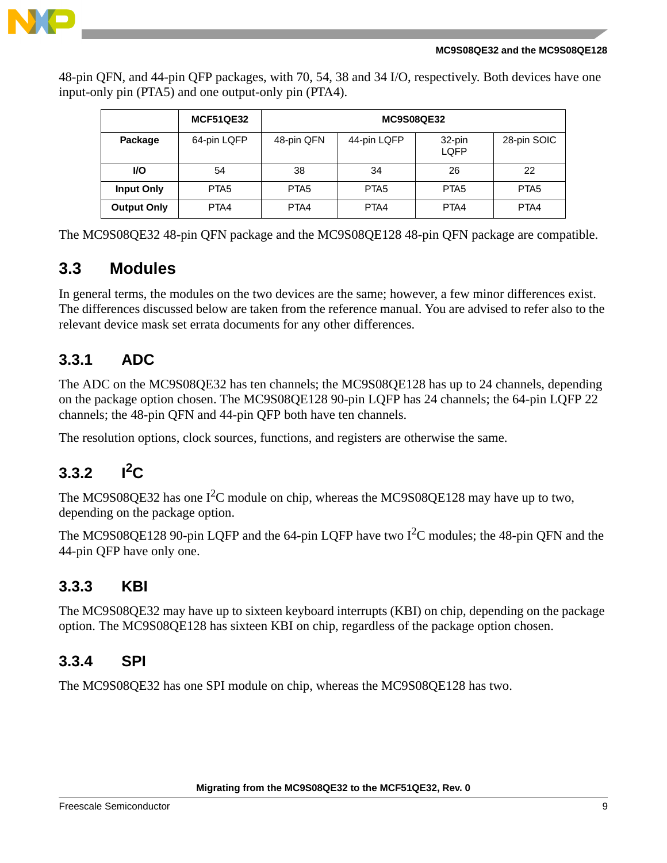48-pin QFN, and 44-pin QFP packages, with 70, 54, 38 and 34 I/O, respectively. Both devices have one input-only pin (PTA5) and one output-only pin (PTA4).

|                    | <b>MCF51QE32</b> | <b>MC9S08QE32</b> |                  |                  |                  |  |
|--------------------|------------------|-------------------|------------------|------------------|------------------|--|
| Package            | 64-pin LQFP      | 48-pin QFN        | 44-pin LQFP      | 32-pin<br>LQFP   | 28-pin SOIC      |  |
| <b>VO</b>          | 54               | 38                | 34               | 26               | 22               |  |
| <b>Input Only</b>  | PTA <sub>5</sub> | PTA <sub>5</sub>  | PTA <sub>5</sub> | PTA <sub>5</sub> | PTA <sub>5</sub> |  |
| <b>Output Only</b> | PTA4             | PTA4              | PTA4             | PTA4             | PTA4             |  |

The MC9S08QE32 48-pin QFN package and the MC9S08QE128 48-pin QFN package are compatible.

### <span id="page-8-0"></span>**3.3 Modules**

In general terms, the modules on the two devices are the same; however, a few minor differences exist. The differences discussed below are taken from the reference manual. You are advised to refer also to the relevant device mask set errata documents for any other differences.

### **3.3.1 ADC**

The ADC on the MC9S08QE32 has ten channels; the MC9S08QE128 has up to 24 channels, depending on the package option chosen. The MC9S08QE128 90-pin LQFP has 24 channels; the 64-pin LQFP 22 channels; the 48-pin QFN and 44-pin QFP both have ten channels.

The resolution options, clock sources, functions, and registers are otherwise the same.

### **3.3.2**  $I^2C$

The MC9S08QE32 has one  $I^2C$  module on chip, whereas the MC9S08QE128 may have up to two, depending on the package option.

The MC9S08QE128 90-pin LQFP and the 64-pin LQFP have two  $I^2C$  modules; the 48-pin QFN and the 44-pin QFP have only one.

#### **3.3.3 KBI**

The MC9S08QE32 may have up to sixteen keyboard interrupts (KBI) on chip, depending on the package option. The MC9S08QE128 has sixteen KBI on chip, regardless of the package option chosen.

#### **3.3.4 SPI**

The MC9S08QE32 has one SPI module on chip, whereas the MC9S08QE128 has two.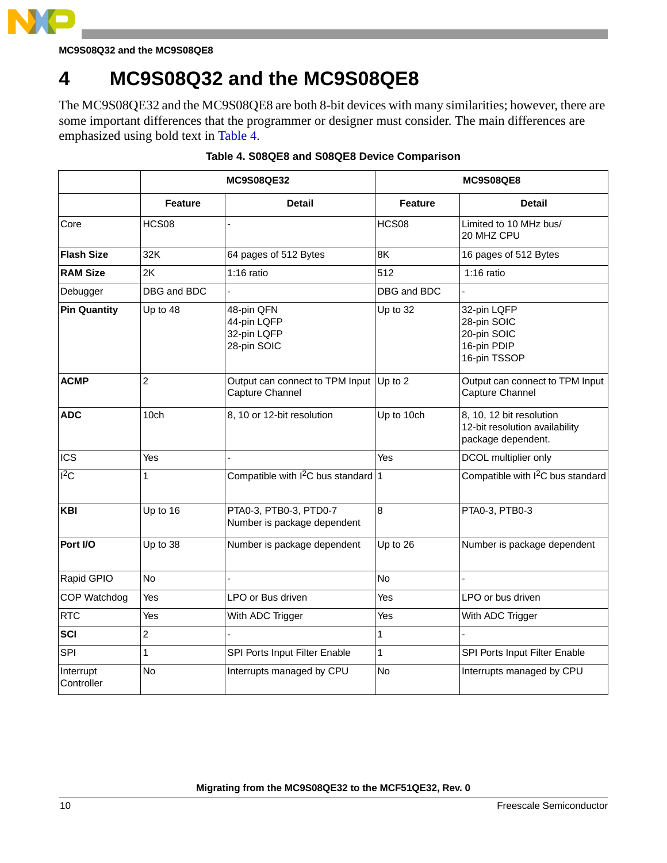

**MC9S08Q32 and the MC9S08QE8**

# <span id="page-9-0"></span>**4 MC9S08Q32 and the MC9S08QE8**

The MC9S08QE32 and the MC9S08QE8 are both 8-bit devices with many similarities; however, there are some important differences that the programmer or designer must consider. The main differences are emphasized using bold text in Table 4.

|                         |                | <b>MC9S08QE32</b>                                          | <b>MC9S08QE8</b> |                                                                                  |  |
|-------------------------|----------------|------------------------------------------------------------|------------------|----------------------------------------------------------------------------------|--|
|                         | <b>Feature</b> | <b>Detail</b>                                              | <b>Feature</b>   | Detail                                                                           |  |
| Core                    | HCS08          |                                                            | HCS08            | Limited to 10 MHz bus/<br>20 MHZ CPU                                             |  |
| <b>Flash Size</b>       | 32K            | 64 pages of 512 Bytes                                      | 8K               | 16 pages of 512 Bytes                                                            |  |
| <b>RAM Size</b>         | 2K             | $1:16$ ratio                                               | 512              | $1:16$ ratio                                                                     |  |
| Debugger                | DBG and BDC    |                                                            | DBG and BDC      |                                                                                  |  |
| <b>Pin Quantity</b>     | Up to 48       | 48-pin QFN<br>44-pin LQFP<br>32-pin LQFP<br>28-pin SOIC    | Up to 32         | 32-pin LQFP<br>28-pin SOIC<br>20-pin SOIC<br>16-pin PDIP<br>16-pin TSSOP         |  |
| <b>ACMP</b>             | $\overline{c}$ | Output can connect to TPM Input Up to 2<br>Capture Channel |                  | Output can connect to TPM Input<br>Capture Channel                               |  |
| <b>ADC</b>              | 10ch           | 8, 10 or 12-bit resolution                                 | Up to 10ch       | 8, 10, 12 bit resolution<br>12-bit resolution availability<br>package dependent. |  |
| <b>ICS</b>              | Yes            |                                                            | Yes              | DCOL multiplier only                                                             |  |
| $I^2C$                  | 1              | Compatible with $1^2C$ bus standard 1                      |                  | Compatible with I <sup>2</sup> C bus standard                                    |  |
| <b>KBI</b>              | Up to 16       | PTA0-3, PTB0-3, PTD0-7<br>Number is package dependent      | $\bf{8}$         | PTA0-3, PTB0-3                                                                   |  |
| Port I/O                | Up to 38       | Number is package dependent                                | Up to 26         | Number is package dependent                                                      |  |
| Rapid GPIO              | <b>No</b>      |                                                            | <b>No</b>        |                                                                                  |  |
| COP Watchdog            | Yes            | LPO or Bus driven                                          | Yes              | LPO or bus driven                                                                |  |
| <b>RTC</b>              | Yes            | With ADC Trigger                                           | Yes              | With ADC Trigger                                                                 |  |
| <b>SCI</b>              | $\overline{c}$ |                                                            | 1                |                                                                                  |  |
| SPI                     | 1              | SPI Ports Input Filter Enable                              | $\mathbf{1}$     | SPI Ports Input Filter Enable                                                    |  |
| Interrupt<br>Controller | No             | Interrupts managed by CPU                                  | No               | Interrupts managed by CPU                                                        |  |

#### **Table 4. S08QE8 and S08QE8 Device Comparison**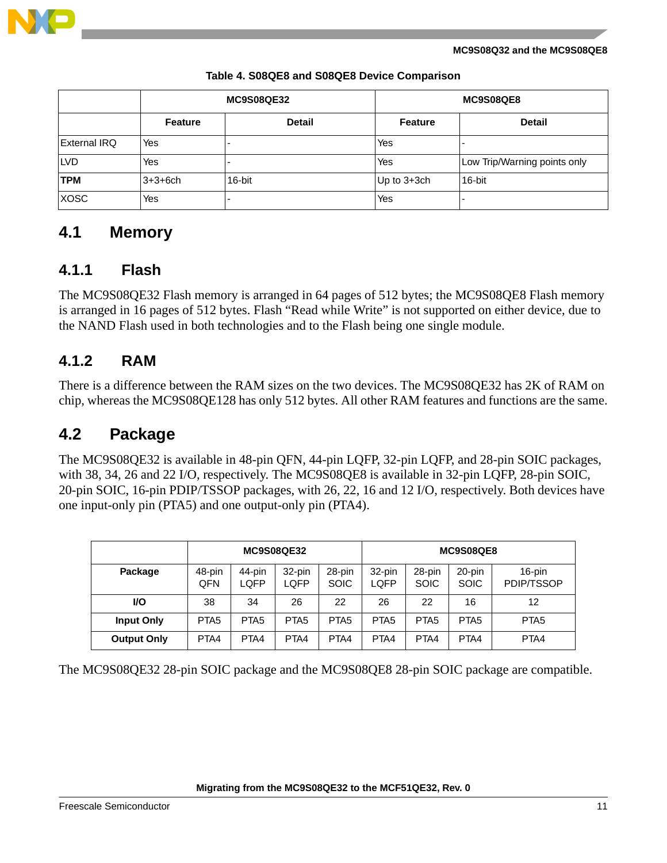

**MC9S08Q32 and the MC9S08QE8**

|                     |                | <b>MC9S08QE32</b> | MC9S08QE8      |                              |  |
|---------------------|----------------|-------------------|----------------|------------------------------|--|
|                     | <b>Feature</b> | <b>Detail</b>     | <b>Feature</b> | <b>Detail</b>                |  |
| <b>External IRQ</b> | Yes            |                   | Yes            |                              |  |
| <b>LVD</b>          | Yes            |                   | Yes            | Low Trip/Warning points only |  |
| <b>TPM</b>          | $3 + 3 + 6$ ch | 16-bit            | Up to 3+3ch    | 16-bit                       |  |
| <b>XOSC</b>         | Yes            |                   | Yes            |                              |  |

#### **Table 4. S08QE8 and S08QE8 Device Comparison**

### <span id="page-10-0"></span>**4.1 Memory**

#### **4.1.1 Flash**

The MC9S08QE32 Flash memory is arranged in 64 pages of 512 bytes; the MC9S08QE8 Flash memory is arranged in 16 pages of 512 bytes. Flash "Read while Write" is not supported on either device, due to the NAND Flash used in both technologies and to the Flash being one single module.

### **4.1.2 RAM**

There is a difference between the RAM sizes on the two devices. The MC9S08QE32 has 2K of RAM on chip, whereas the MC9S08QE128 has only 512 bytes. All other RAM features and functions are the same.

### <span id="page-10-1"></span>**4.2 Package**

The MC9S08QE32 is available in 48-pin QFN, 44-pin LQFP, 32-pin LQFP, and 28-pin SOIC packages, with 38, 34, 26 and 22 I/O, respectively. The MC9S08QE8 is available in 32-pin LQFP, 28-pin SOIC, 20-pin SOIC, 16-pin PDIP/TSSOP packages, with 26, 22, 16 and 12 I/O, respectively. Both devices have one input-only pin (PTA5) and one output-only pin (PTA4).

|                    | <b>MC9S08QE32</b> |                  |                  |                       | <b>MC9S08QE8</b> |                       |                       |                      |
|--------------------|-------------------|------------------|------------------|-----------------------|------------------|-----------------------|-----------------------|----------------------|
| Package            | 48-pin<br>QFN     | 44-pin<br>LQFP   | 32-pin<br>LQFP   | 28-pin<br><b>SOIC</b> | 32-pin<br>LQFP   | 28-pin<br><b>SOIC</b> | 20-pin<br><b>SOIC</b> | 16-pin<br>PDIP/TSSOP |
| VO.                | 38                | 34               | 26               | 22                    | 26               | 22                    | 16                    | 12                   |
| <b>Input Only</b>  | PTA <sub>5</sub>  | PTA <sub>5</sub> | PTA <sub>5</sub> | PTA <sub>5</sub>      | PTA <sub>5</sub> | PTA <sub>5</sub>      | PTA <sub>5</sub>      | PTA <sub>5</sub>     |
| <b>Output Only</b> | PTA4              | PTA4             | PTA4             | PTA4                  | PTA4             | PTA4                  | PTA4                  | PTA4                 |

The MC9S08QE32 28-pin SOIC package and the MC9S08QE8 28-pin SOIC package are compatible.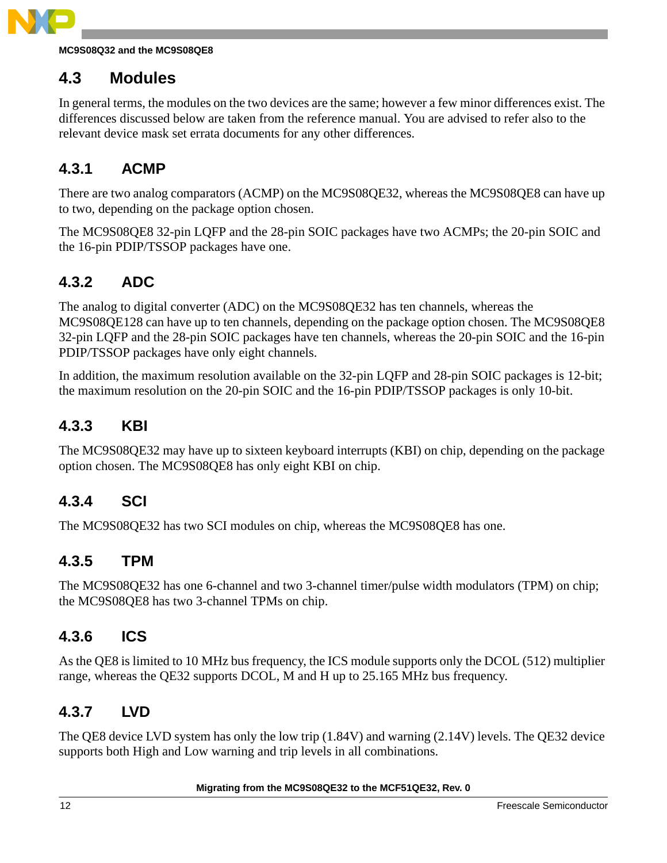

#### **MC9S08Q32 and the MC9S08QE8**

### <span id="page-11-0"></span>**4.3 Modules**

In general terms, the modules on the two devices are the same; however a few minor differences exist. The differences discussed below are taken from the reference manual. You are advised to refer also to the relevant device mask set errata documents for any other differences.

#### **4.3.1 ACMP**

There are two analog comparators (ACMP) on the MC9S08QE32, whereas the MC9S08QE8 can have up to two, depending on the package option chosen.

The MC9S08QE8 32-pin LQFP and the 28-pin SOIC packages have two ACMPs; the 20-pin SOIC and the 16-pin PDIP/TSSOP packages have one.

### **4.3.2 ADC**

The analog to digital converter (ADC) on the MC9S08QE32 has ten channels, whereas the MC9S08QE128 can have up to ten channels, depending on the package option chosen. The MC9S08QE8 32-pin LQFP and the 28-pin SOIC packages have ten channels, whereas the 20-pin SOIC and the 16-pin PDIP/TSSOP packages have only eight channels.

In addition, the maximum resolution available on the 32-pin LQFP and 28-pin SOIC packages is 12-bit; the maximum resolution on the 20-pin SOIC and the 16-pin PDIP/TSSOP packages is only 10-bit.

#### **4.3.3 KBI**

The MC9S08QE32 may have up to sixteen keyboard interrupts (KBI) on chip, depending on the package option chosen. The MC9S08QE8 has only eight KBI on chip.

#### **4.3.4 SCI**

The MC9S08QE32 has two SCI modules on chip, whereas the MC9S08QE8 has one.

#### **4.3.5 TPM**

The MC9S08QE32 has one 6-channel and two 3-channel timer/pulse width modulators (TPM) on chip; the MC9S08QE8 has two 3-channel TPMs on chip.

#### **4.3.6 ICS**

As the QE8 is limited to 10 MHz bus frequency, the ICS module supports only the DCOL (512) multiplier range, whereas the QE32 supports DCOL, M and H up to 25.165 MHz bus frequency.

#### **4.3.7 LVD**

The QE8 device LVD system has only the low trip (1.84V) and warning (2.14V) levels. The QE32 device supports both High and Low warning and trip levels in all combinations.

#### **Migrating from the MC9S08QE32 to the MCF51QE32, Rev. 0**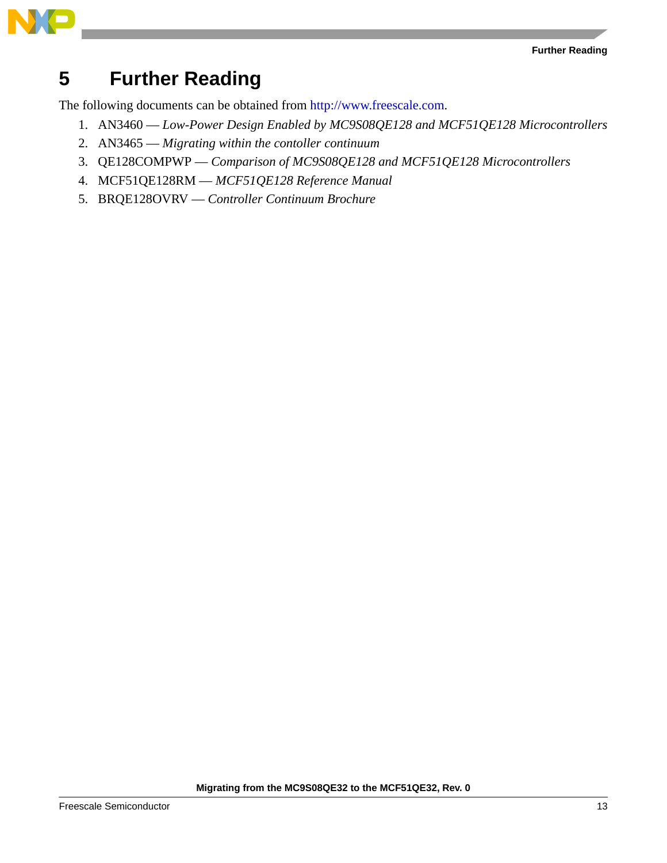



# <span id="page-12-0"></span>**5 Further Reading**

The following documents can be obtained from http://www.freescale.com.

- 1. AN3460 *Low-Power Design Enabled by MC9S08QE128 and MCF51QE128 Microcontrollers*
- 2. AN3465 *Migrating within the contoller continuum*
- 3. QE128COMPWP *Comparison of MC9S08QE128 and MCF51QE128 Microcontrollers*
- 4. MCF51QE128RM *MCF51QE128 Reference Manual*
- 5. BRQE128OVRV *Controller Continuum Brochure*